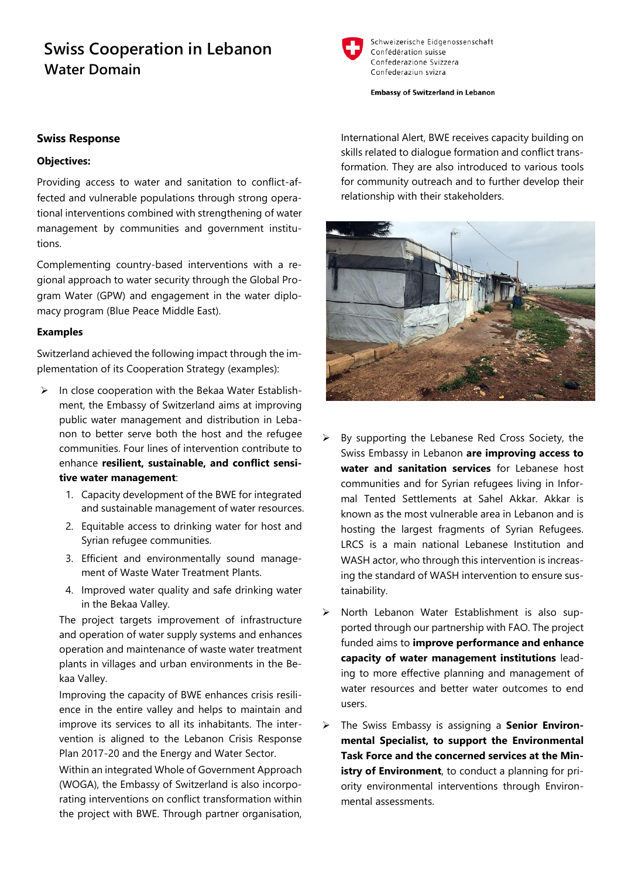# **Swiss Cooperation in Lebanon Water Domain**



Schweizerische Eidgenossenschaft Confédération suisse Confederazione Svizzera Confederaziun svizra

**Embassy of Switzerland in Lebanon** 

## **Swiss Response**

#### **Objectives:**

Providing access to water and sanitation to conflict-affected and vulnerable populations through strong operational interventions combined with strengthening of water management by communities and government institutions.

Complementing country-based interventions with a regional approach to water security through the Global Program Water (GPW) and engagement in the water diplomacy program (Blue Peace Middle East).

#### **Examples**

Switzerland achieved the following impact through the implementation of its Cooperation Strategy (examples):

- $\triangleright$  In close cooperation with the Bekaa Water Establishment, the Embassy of Switzerland aims at improving public water management and distribution in Lebanon to better serve both the host and the refugee communities. Four lines of intervention contribute to enhance **resilient, sustainable, and conflict sensitive water management**:
	- 1. Capacity development of the BWE for integrated and sustainable management of water resources.
	- 2. Equitable access to drinking water for host and Syrian refugee communities.
	- 3. Efficient and environmentally sound management of Waste Water Treatment Plants.
	- 4. Improved water quality and safe drinking water in the Bekaa Valley.

The project targets improvement of infrastructure and operation of water supply systems and enhances operation and maintenance of waste water treatment plants in villages and urban environments in the Bekaa Valley.

Improving the capacity of BWE enhances crisis resilience in the entire valley and helps to maintain and improve its services to all its inhabitants. The intervention is aligned to the Lebanon Crisis Response Plan 2017-20 and the Energy and Water Sector.

Within an integrated Whole of Government Approach (WOGA), the Embassy of Switzerland is also incorporating interventions on conflict transformation within the project with BWE. Through partner organisation,

International Alert, BWE receives capacity building on skills related to dialogue formation and conflict transformation. They are also introduced to various tools for community outreach and to further develop their relationship with their stakeholders.



- $\triangleright$  By supporting the Lebanese Red Cross Society, the Swiss Embassy in Lebanon **are improving access to water and sanitation services** for Lebanese host communities and for Syrian refugees living in Informal Tented Settlements at Sahel Akkar. Akkar is known as the most vulnerable area in Lebanon and is hosting the largest fragments of Syrian Refugees. LRCS is a main national Lebanese Institution and WASH actor, who through this intervention is increasing the standard of WASH intervention to ensure sustainability.
- $\triangleright$  North Lebanon Water Establishment is also supported through our partnership with FAO. The project funded aims to **improve performance and enhance capacity of water management institutions** leading to more effective planning and management of water resources and better water outcomes to end users.
- > The Swiss Embassy is assigning a **Senior Environmental Specialist, to support the Environmental Task Force and the concerned services at the Ministry of Environment**, to conduct a planning for priority environmental interventions through Environmental assessments.